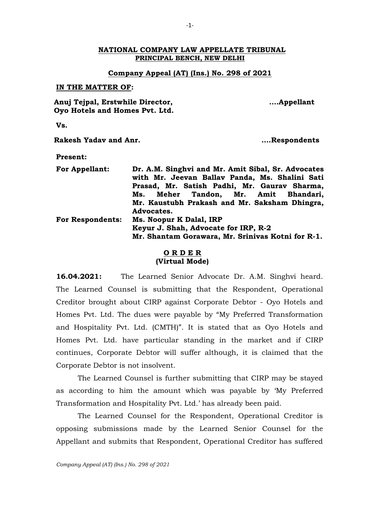### **NATIONAL COMPANY LAW APPELLATE TRIBUNAL PRINCIPAL BENCH, NEW DELHI**

## **Company Appeal (AT) (Ins.) No. 298 of 2021**

#### **IN THE MATTER OF:**

**Anuj Tejpal, Erstwhile Director, Oyo Hotels and Homes Pvt. Ltd.**  **.…Appellant**

**Vs.**

**Rakesh Yadav and Anr. ….Respondents**

## **Present:**

| For Appellant:          | Dr. A.M. Singhvi and Mr. Amit Sibal, Sr. Advocates<br>with Mr. Jeevan Ballav Panda, Ms. Shalini Sati |
|-------------------------|------------------------------------------------------------------------------------------------------|
|                         | Prasad, Mr. Satish Padhi, Mr. Gaurav Sharma,                                                         |
|                         |                                                                                                      |
|                         | Ms. Meher Tandon, Mr. Amit Bhandari,                                                                 |
|                         | Mr. Kaustubh Prakash and Mr. Saksham Dhingra,                                                        |
|                         | Advocates.                                                                                           |
| <b>For Respondents:</b> | Ms. Noopur K Dalal, IRP                                                                              |
|                         | Keyur J. Shah, Advocate for IRP, R-2                                                                 |
|                         | Mr. Shantam Gorawara, Mr. Srinivas Kotni for R-1.                                                    |

# **O R D E R (Virtual Mode)**

**16.04.2021:** The Learned Senior Advocate Dr. A.M. Singhvi heard. The Learned Counsel is submitting that the Respondent, Operational Creditor brought about CIRP against Corporate Debtor - Oyo Hotels and Homes Pvt. Ltd. The dues were payable by "My Preferred Transformation and Hospitality Pvt. Ltd. (CMTH)". It is stated that as Oyo Hotels and Homes Pvt. Ltd. have particular standing in the market and if CIRP continues, Corporate Debtor will suffer although, it is claimed that the Corporate Debtor is not insolvent.

The Learned Counsel is further submitting that CIRP may be stayed as according to him the amount which was payable by 'My Preferred Transformation and Hospitality Pvt. Ltd.' has already been paid.

The Learned Counsel for the Respondent, Operational Creditor is opposing submissions made by the Learned Senior Counsel for the Appellant and submits that Respondent, Operational Creditor has suffered